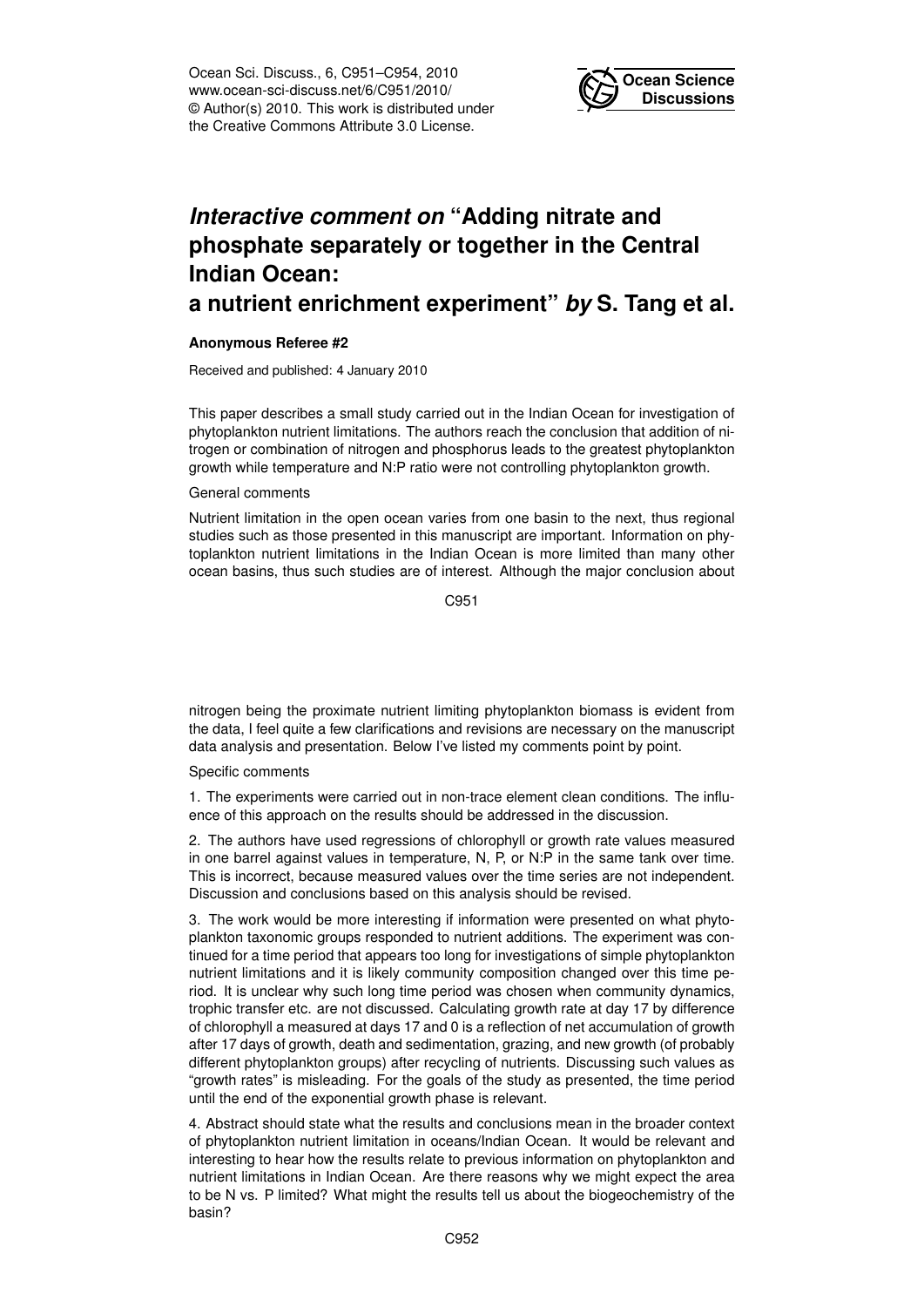Ocean Sci. Discuss., 6, C951–C954, 2010 www.ocean-sci-discuss.net/6/C951/2010/ © Author(s) 2010. This work is distributed under the Creative Commons Attribute 3.0 License.



# *Interactive comment on* **"Adding nitrate and phosphate separately or together in the Central Indian Ocean:**

## **a nutrient enrichment experiment"** *by* **S. Tang et al.**

### **Anonymous Referee #2**

Received and published: 4 January 2010

This paper describes a small study carried out in the Indian Ocean for investigation of phytoplankton nutrient limitations. The authors reach the conclusion that addition of nitrogen or combination of nitrogen and phosphorus leads to the greatest phytoplankton growth while temperature and N:P ratio were not controlling phytoplankton growth.

### General comments

Nutrient limitation in the open ocean varies from one basin to the next, thus regional studies such as those presented in this manuscript are important. Information on phytoplankton nutrient limitations in the Indian Ocean is more limited than many other ocean basins, thus such studies are of interest. Although the major conclusion about

C951

nitrogen being the proximate nutrient limiting phytoplankton biomass is evident from the data, I feel quite a few clarifications and revisions are necessary on the manuscript data analysis and presentation. Below I've listed my comments point by point.

### Specific comments

1. The experiments were carried out in non-trace element clean conditions. The influence of this approach on the results should be addressed in the discussion.

2. The authors have used regressions of chlorophyll or growth rate values measured in one barrel against values in temperature, N, P, or N:P in the same tank over time. This is incorrect, because measured values over the time series are not independent. Discussion and conclusions based on this analysis should be revised.

3. The work would be more interesting if information were presented on what phytoplankton taxonomic groups responded to nutrient additions. The experiment was continued for a time period that appears too long for investigations of simple phytoplankton nutrient limitations and it is likely community composition changed over this time period. It is unclear why such long time period was chosen when community dynamics, trophic transfer etc. are not discussed. Calculating growth rate at day 17 by difference of chlorophyll a measured at days 17 and 0 is a reflection of net accumulation of growth after 17 days of growth, death and sedimentation, grazing, and new growth (of probably different phytoplankton groups) after recycling of nutrients. Discussing such values as "growth rates" is misleading. For the goals of the study as presented, the time period until the end of the exponential growth phase is relevant.

4. Abstract should state what the results and conclusions mean in the broader context of phytoplankton nutrient limitation in oceans/Indian Ocean. It would be relevant and interesting to hear how the results relate to previous information on phytoplankton and nutrient limitations in Indian Ocean. Are there reasons why we might expect the area to be N vs. P limited? What might the results tell us about the biogeochemistry of the basin?